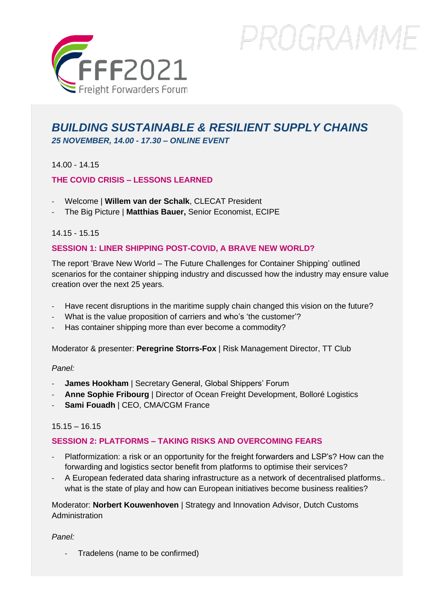

# PROGRAMME

# *BUILDING SUSTAINABLE & RESILIENT SUPPLY CHAINS 25 NOVEMBER, 14.00 - 17.30 – ONLINE EVENT*

14.00 - 14.15

# **THE COVID CRISIS – LESSONS LEARNED**

- Welcome | **Willem van der Schalk**, CLECAT President
- The Big Picture | **Matthias Bauer,** Senior Economist, ECIPE

# 14.15 - 15.15

# **SESSION 1: LINER SHIPPING POST-COVID, A BRAVE NEW WORLD?**

The report 'Brave New World – The Future Challenges for Container Shipping' outlined scenarios for the container shipping industry and discussed how the industry may ensure value creation over the next 25 years.

- Have recent disruptions in the maritime supply chain changed this vision on the future?
- What is the value proposition of carriers and who's 'the customer'?
- Has container shipping more than ever become a commodity?

Moderator & presenter: **Peregrine Storrs-Fox** | Risk Management Director, TT Club

#### *Panel:*

- James Hookham | Secretary General, Global Shippers' Forum
- Anne Sophie Fribourg | Director of Ocean Freight Development, Bolloré Logistics
- Sami Fouadh | CEO, CMA/CGM France

# 15.15 – 16.15

# **SESSION 2: PLATFORMS – TAKING RISKS AND OVERCOMING FEARS**

- Platformization: a risk or an opportunity for the freight forwarders and LSP's? How can the forwarding and logistics sector benefit from platforms to optimise their services?
- A European federated data sharing infrastructure as a network of decentralised platforms.. what is the state of play and how can European initiatives become business realities?

Moderator: **Norbert Kouwenhoven** | Strategy and Innovation Advisor, Dutch Customs Administration

*Panel:*

- Tradelens (name to be confirmed)